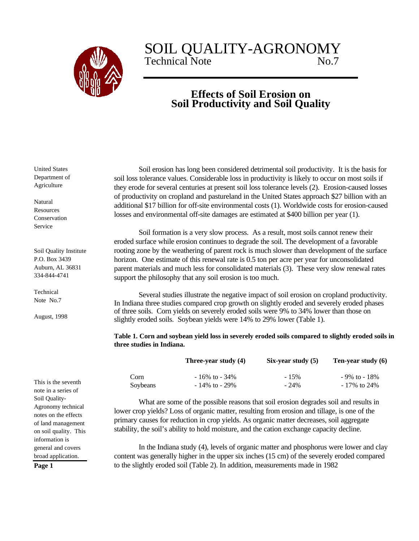

## SOIL QUALITY-AGRONOMY<br>Technical Note Technical Note

## **Effects of Soil Erosion on Soil Productivity and Soil Quality**

Soil erosion has long been considered detrimental soil productivity. It is the basis for soil loss tolerance values. Considerable loss in productivity is likely to occur on most soils if they erode for several centuries at present soil loss tolerance levels (2). Erosion-caused losses of productivity on cropland and pastureland in the United States approach \$27 billion with an additional \$17 billion for off-site environmental costs (1). Worldwide costs for erosion-caused losses and environmental off-site damages are estimated at \$400 billion per year (1).

Soil formation is a very slow process. As a result, most soils cannot renew their eroded surface while erosion continues to degrade the soil. The development of a favorable rooting zone by the weathering of parent rock is much slower than development of the surface horizon. One estimate of this renewal rate is 0.5 ton per acre per year for unconsolidated parent materials and much less for consolidated materials (3). These very slow renewal rates support the philosophy that any soil erosion is too much.

Several studies illustrate the negative impact of soil erosion on cropland productivity. In Indiana three studies compared crop growth on slightly eroded and severely eroded phases of three soils. Corn yields on severely eroded soils were 9% to 34% lower than those on slightly eroded soils. Soybean yields were 14% to 29% lower (Table 1).

**Table 1. Corn and soybean yield loss in severely eroded soils compared to slightly eroded soils in three studies in Indiana.**

|          | Three-vear study (4) | Six-vear study $(5)$ | Ten-year study (6) |
|----------|----------------------|----------------------|--------------------|
| Corn     | $-16\%$ to $-34\%$   | $-15%$               | $-9\%$ to $-18\%$  |
| Soybeans | $-14\%$ to $-29\%$   | $-24\%$              | $-17\%$ to 24%     |

What are some of the possible reasons that soil erosion degrades soil and results in lower crop yields? Loss of organic matter, resulting from erosion and tillage, is one of the primary causes for reduction in crop yields. As organic matter decreases, soil aggregate stability, the soil's ability to hold moisture, and the cation exchange capacity decline.

In the Indiana study (4), levels of organic matter and phosphorus were lower and clay content was generally higher in the upper six inches (15 cm) of the severely eroded compared to the slightly eroded soil (Table 2). In addition, measurements made in 1982

United States Department of Agriculture

Natural Resources Conservation Service

Soil Quality Institute P.O. Box 3439 Auburn, AL 36831 334-844-4741

Technical Note No.7

August, 1998

This is the seventh note in a series of Soil Quality-Agronomy technical notes on the effects of land management on soil quality. This information is general and covers broad application.

**Page 1**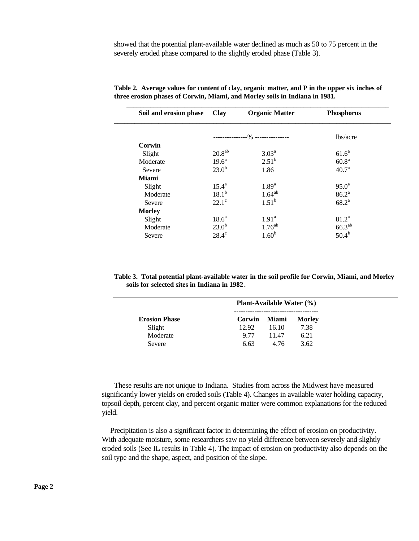showed that the potential plant-available water declined as much as 50 to 75 percent in the severely eroded phase compared to the slightly eroded phase (Table 3).

| Soil and erosion phase | <b>Clay</b>        | <b>Organic Matter</b>           | Phosphorus        |
|------------------------|--------------------|---------------------------------|-------------------|
|                        |                    | --------------% --------------- | lbs/acre          |
| Corwin                 |                    |                                 |                   |
| Slight                 | 20.8 <sup>ab</sup> | 3.03 <sup>a</sup>               | $61.6^a$          |
| Moderate               | $19.6^{\text{a}}$  | $2.51^{b}$                      | 60.8 <sup>a</sup> |
| Severe                 | 23.0 <sup>b</sup>  | 1.86                            | 40.7 <sup>a</sup> |
| <b>Miami</b>           |                    |                                 |                   |
| Slight                 | $15.4^{\rm a}$     | 1.89 <sup>a</sup>               | $95.0^{\circ}$    |
| Moderate               | $18.1^{b}$         | $1.64^{ab}$                     | 86.2 <sup>a</sup> |
| Severe                 | $22.1^\circ$       | 1.51 <sup>b</sup>               | $68.2^{\text{a}}$ |
| <b>Morley</b>          |                    |                                 |                   |
| Slight                 | 18.6 <sup>a</sup>  | 1.91 <sup>a</sup>               | $81.2^a$          |
| Moderate               | 23.0 <sup>b</sup>  | $1.76^{ab}$                     | $66.3^{ab}$       |
| Severe                 | $28.4^\circ$       | 1.60 <sup>b</sup>               | $50.4^{b}$        |

**Table 2. Average values for content of clay, organic matter, and P in the upper six inches of three erosion phases of Corwin, Miami, and Morley soils in Indiana in 1981.**

**Table 3. Total potential plant-available water in the soil profile for Corwin, Miami, and Morley soils for selected sites in Indiana in 1982.**

|                      | Plant-Available Water (%) |              |               |  |
|----------------------|---------------------------|--------------|---------------|--|
| <b>Erosion Phase</b> | Corwin                    | <b>Miami</b> | <b>Morley</b> |  |
| Slight               | 12.92                     | 16.10        | 7.38          |  |
| Moderate             | 9.77                      | 11.47        | 6.21          |  |
| Severe               | 6.63                      | 4.76         | 3.62          |  |

These results are not unique to Indiana. Studies from across the Midwest have measured significantly lower yields on eroded soils (Table 4). Changes in available water holding capacity, topsoil depth, percent clay, and percent organic matter were common explanations for the reduced yield.

 Precipitation is also a significant factor in determining the effect of erosion on productivity. With adequate moisture, some researchers saw no yield difference between severely and slightly eroded soils (See IL results in Table 4). The impact of erosion on productivity also depends on the soil type and the shape, aspect, and position of the slope.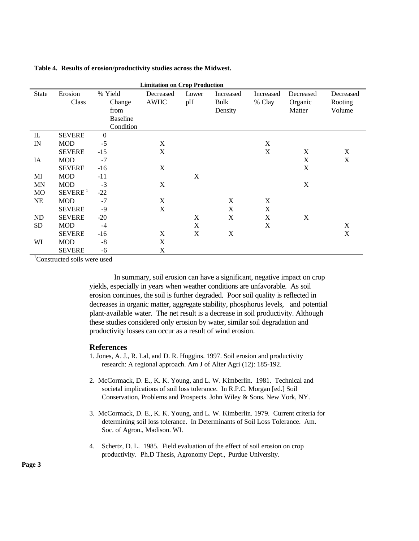| <b>Limitation on Crop Production</b> |                     |                 |             |       |           |           |             |           |
|--------------------------------------|---------------------|-----------------|-------------|-------|-----------|-----------|-------------|-----------|
| <b>State</b>                         | Erosion             | % Yield         | Decreased   | Lower | Increased | Increased | Decreased   | Decreased |
|                                      | Class               | Change          | <b>AWHC</b> | pH    | Bulk      | % Clay    | Organic     | Rooting   |
|                                      |                     | from            |             |       | Density   |           | Matter      | Volume    |
|                                      |                     | <b>Baseline</b> |             |       |           |           |             |           |
|                                      |                     | Condition       |             |       |           |           |             |           |
| IL                                   | <b>SEVERE</b>       | $\mathbf{0}$    |             |       |           |           |             |           |
| IN                                   | <b>MOD</b>          | $-5$            | X           |       |           | X         |             |           |
|                                      | <b>SEVERE</b>       | $-15$           | X           |       |           | X         | X           | X         |
| IA                                   | <b>MOD</b>          | $-7$            |             |       |           |           | X           | X         |
|                                      | <b>SEVERE</b>       | $-16$           | $\mathbf X$ |       |           |           | $\mathbf X$ |           |
| MI                                   | MOD                 | $-11$           |             | X     |           |           |             |           |
| <b>MN</b>                            | <b>MOD</b>          | $-3$            | $\mathbf X$ |       |           |           | X           |           |
| <b>MO</b>                            | SEVERE <sup>1</sup> | $-22$           |             |       |           |           |             |           |
| <b>NE</b>                            | <b>MOD</b>          | $-7$            | X           |       | X         | X         |             |           |
|                                      | <b>SEVERE</b>       | $-9$            | X           |       | X         | X         |             |           |
| ND                                   | <b>SEVERE</b>       | $-20$           |             | X     | X         | X         | X           |           |
| SD                                   | <b>MOD</b>          | $-4$            |             | X     |           | X         |             | X         |
|                                      | <b>SEVERE</b>       | $-16$           | X           | X     | X         |           |             | X         |
| WI                                   | <b>MOD</b>          | $-8$            | X           |       |           |           |             |           |
|                                      | <b>SEVERE</b>       | -6              | X           |       |           |           |             |           |

## **Table 4. Results of erosion/productivity studies across the Midwest.**

<sup>1</sup>Constructed soils were used

In summary, soil erosion can have a significant, negative impact on crop yields, especially in years when weather conditions are unfavorable. As soil erosion continues, the soil is further degraded. Poor soil quality is reflected in decreases in organic matter, aggregate stability, phosphorus levels, and potential plant-available water. The net result is a decrease in soil productivity. Although these studies considered only erosion by water, similar soil degradation and productivity losses can occur as a result of wind erosion.

## **References**

- 1. Jones, A. J., R. Lal, and D. R. Huggins. 1997. Soil erosion and productivity research: A regional approach. Am J of Alter Agri (12): 185-192.
- 2. McCormack, D. E., K. K. Young, and L. W. Kimberlin. 1981. Technical and societal implications of soil loss tolerance. In R.P.C. Morgan [ed.] Soil Conservation, Problems and Prospects. John Wiley & Sons. New York, NY.
- 3. McCormack, D. E., K. K. Young, and L. W. Kimberlin. 1979. Current criteria for determining soil loss tolerance. In Determinants of Soil Loss Tolerance. Am. Soc. of Agron., Madison. WI.
- 4. Schertz, D. L. 1985. Field evaluation of the effect of soil erosion on crop productivity. Ph.D Thesis, Agronomy Dept., Purdue University.